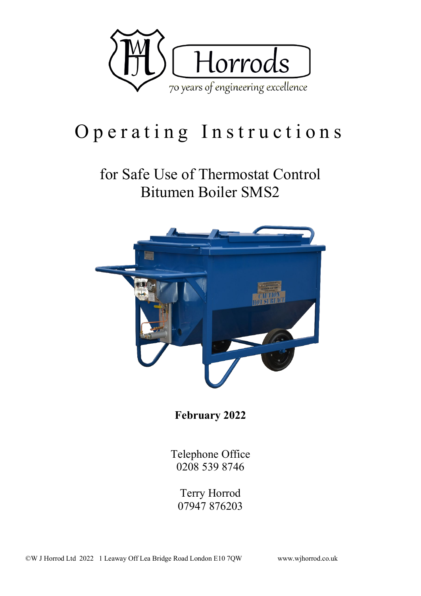

# Operating Instructions

## for Safe Use of Thermostat Control Bitumen Boiler SMS2



**February 2022**

Telephone Office 0208 539 8746

Terry Horrod 07947 876203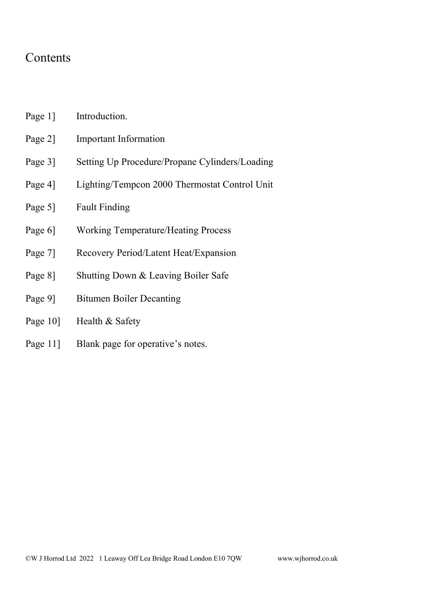### Contents

- Page 1] Introduction.
- Page 2] Important Information
- Page 3] Setting Up Procedure/Propane Cylinders/Loading
- Page 4] Lighting/Tempcon 2000 Thermostat Control Unit
- Page 5] Fault Finding
- Page 6] Working Temperature/Heating Process
- Page 7] Recovery Period/Latent Heat/Expansion
- Page 8] Shutting Down & Leaving Boiler Safe
- Page 9] Bitumen Boiler Decanting
- Page 10] Health & Safety
- Page 11] Blank page for operative's notes.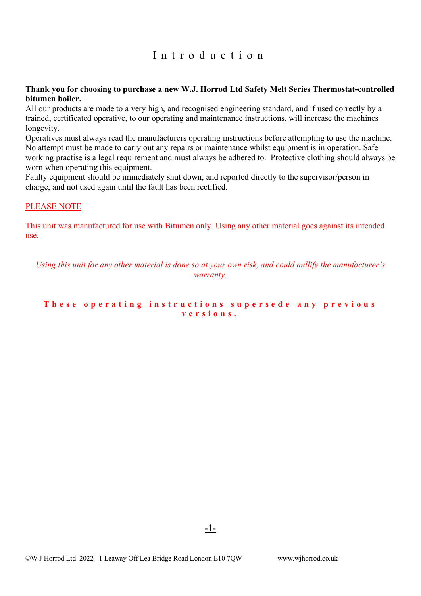#### Introduction

#### **Thank you for choosing to purchase a new W.J. Horrod Ltd Safety Melt Series Thermostat-controlled bitumen boiler.**

All our products are made to a very high, and recognised engineering standard, and if used correctly by a trained, certificated operative, to our operating and maintenance instructions, will increase the machines longevity.

Operatives must always read the manufacturers operating instructions before attempting to use the machine. No attempt must be made to carry out any repairs or maintenance whilst equipment is in operation. Safe working practise is a legal requirement and must always be adhered to. Protective clothing should always be worn when operating this equipment.

Faulty equipment should be immediately shut down, and reported directly to the supervisor/person in charge, and not used again until the fault has been rectified.

#### PLEASE NOTE

This unit was manufactured for use with Bitumen only. Using any other material goes against its intended use.

*Using this unit for any other material is done so at your own risk, and could nullify the manufacturer's warranty.*

#### **These operating instructions supersede any previous versions.**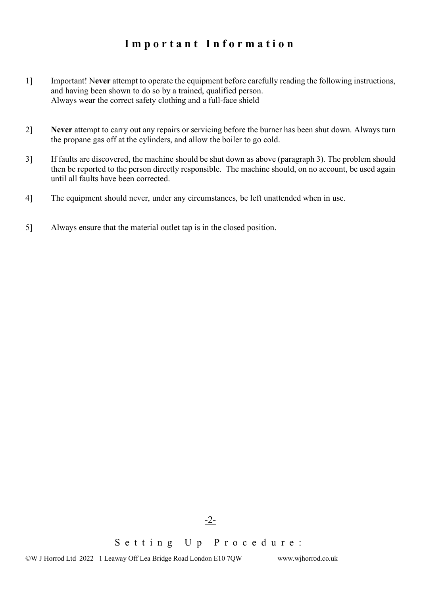## **Important Information**

- 1] Important! N**ever** attempt to operate the equipment before carefully reading the following instructions, and having been shown to do so by a trained, qualified person. Always wear the correct safety clothing and a full-face shield
- 2] **Never** attempt to carry out any repairs or servicing before the burner has been shut down. Always turn the propane gas off at the cylinders, and allow the boiler to go cold.
- 3] If faults are discovered, the machine should be shut down as above (paragraph 3). The problem should then be reported to the person directly responsible. The machine should, on no account, be used again until all faults have been corrected.
- 4] The equipment should never, under any circumstances, be left unattended when in use.
- 5] Always ensure that the material outlet tap is in the closed position.

Setting Up Procedure :

-2-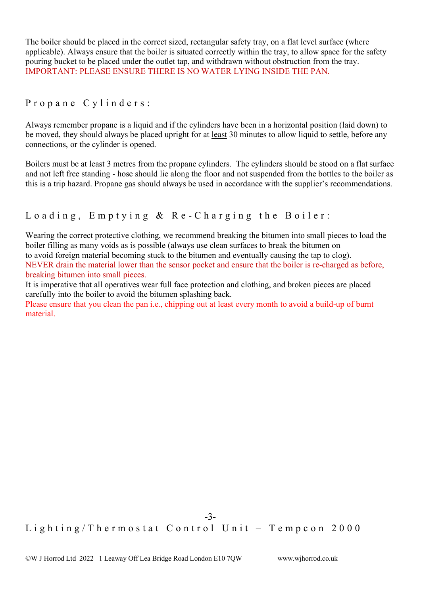The boiler should be placed in the correct sized, rectangular safety tray, on a flat level surface (where applicable). Always ensure that the boiler is situated correctly within the tray, to allow space for the safety pouring bucket to be placed under the outlet tap, and withdrawn without obstruction from the tray. IMPORTANT: PLEASE ENSURE THERE IS NO WATER LYING INSIDE THE PAN.

#### Propane Cylinders:

Always remember propane is a liquid and if the cylinders have been in a horizontal position (laid down) to be moved, they should always be placed upright for at least 30 minutes to allow liquid to settle, before any connections, or the cylinder is opened.

Boilers must be at least 3 metres from the propane cylinders. The cylinders should be stood on a flat surface and not left free standing - hose should lie along the floor and not suspended from the bottles to the boiler as this is a trip hazard. Propane gas should always be used in accordance with the supplier's recommendations.

#### Loading , Emptying & Re - Charging the Boiler:

Wearing the correct protective clothing, we recommend breaking the bitumen into small pieces to load the boiler filling as many voids as is possible (always use clean surfaces to break the bitumen on to avoid foreign material becoming stuck to the bitumen and eventually causing the tap to clog). NEVER drain the material lower than the sensor pocket and ensure that the boiler is re-charged as before, breaking bitumen into small pieces.

It is imperative that all operatives wear full face protection and clothing, and broken pieces are placed carefully into the boiler to avoid the bitumen splashing back.

Please ensure that you clean the pan i.e., chipping out at least every month to avoid a build-up of burnt material.

#### -3- Lighting/Thermostat Control Unit - Tempcon 2000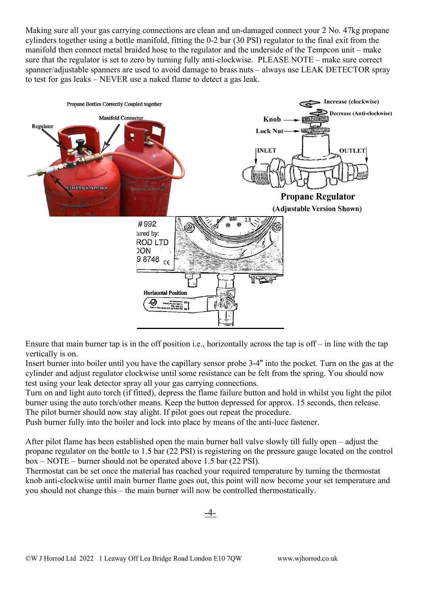Making sure all your gas carrying connections are clean and un-damaged connect your 2 No. 47kg propane cylinders together using a bottle manifold, fitting the 0-2 bar (30 PSI) regulator to the final exit from the manifold then connect metal braided hose to the regulator and the underside of the Tempcon unit – make sure that the regulator is set to zero by turning fully anti-clockwise. PLEASE NOTE – make sure correct spanner/adjustable spanners are used to avoid damage to brass nuts – always use LEAK DETECTOR spray to test for gas leaks – NEVER use a naked flame to detect a gas leak.



Ensure that main burner tap is in the off position i.e., horizontally across the tap is off – in line with the tap vertically is on.

Insert burner into boiler until you have the capillary sensor probe 3-4" into the pocket. Turn on the gas at the cylinder and adjust regulator clockwise until some resistance can be felt from the spring. You should now test using your leak detector spray all your gas carrying connections.

Turn on and light auto torch (if fitted), depress the flame failure button and hold in whilst you light the pilot burner using the auto torch/other means. Keep the button depressed for approx. 15 seconds, then release. The pilot burner should now stay alight. If pilot goes out repeat the procedure.

Push burner fully into the boiler and lock into place by means of the anti-luce fastener.

After pilot flame has been established open the main burner ball valve slowly till fully open – adjust the propane regulator on the bottle to 1.5 bar (22 PSI) is registering on the pressure gauge located on the control box – NOTE – burner should not be operated above 1.5 bar (22 PSI).

Thermostat can be set once the material has reached your required temperature by turning the thermostat knob anti-clockwise until main burner flame goes out, this point will now become your set temperature and you should not change this – the main burner will now be controlled thermostatically.

-4-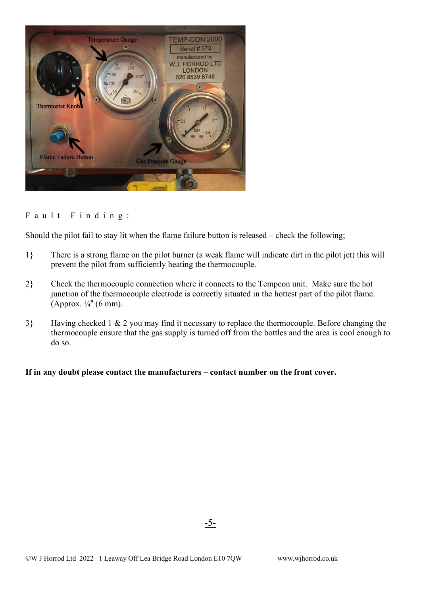

#### Fault Finding:

Should the pilot fail to stay lit when the flame failure button is released – check the following;

- 1} There is a strong flame on the pilot burner (a weak flame will indicate dirt in the pilot jet) this will prevent the pilot from sufficiently heating the thermocouple.
- 2} Check the thermocouple connection where it connects to the Tempcon unit. Make sure the hot junction of the thermocouple electrode is correctly situated in the hottest part of the pilot flame. (Approx.  $\frac{1}{4}$ " (6 mm).
- 3} Having checked 1 & 2 you may find it necessary to replace the thermocouple. Before changing the thermocouple ensure that the gas supply is turned off from the bottles and the area is cool enough to do so.

**If in any doubt please contact the manufacturers – contact number on the front cover.**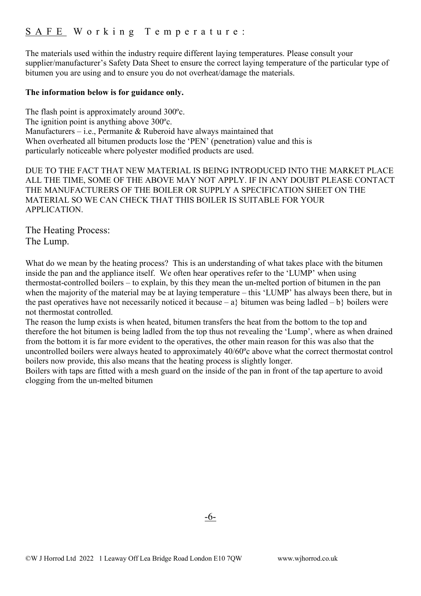The materials used within the industry require different laying temperatures. Please consult your supplier/manufacturer's Safety Data Sheet to ensure the correct laying temperature of the particular type of bitumen you are using and to ensure you do not overheat/damage the materials.

#### **The information below is for guidance only.**

The flash point is approximately around 300ºc. The ignition point is anything above 300ºc. Manufacturers – i.e., Permanite & Ruberoid have always maintained that When overheated all bitumen products lose the 'PEN' (penetration) value and this is particularly noticeable where polyester modified products are used.

DUE TO THE FACT THAT NEW MATERIAL IS BEING INTRODUCED INTO THE MARKET PLACE ALL THE TIME, SOME OF THE ABOVE MAY NOT APPLY. IF IN ANY DOUBT PLEASE CONTACT THE MANUFACTURERS OF THE BOILER OR SUPPLY A SPECIFICATION SHEET ON THE MATERIAL SO WE CAN CHECK THAT THIS BOILER IS SUITABLE FOR YOUR APPLICATION.

The Heating Process: The Lump.

What do we mean by the heating process? This is an understanding of what takes place with the bitumen inside the pan and the appliance itself. We often hear operatives refer to the 'LUMP' when using thermostat-controlled boilers – to explain, by this they mean the un-melted portion of bitumen in the pan when the majority of the material may be at laying temperature – this 'LUMP' has always been there, but in the past operatives have not necessarily noticed it because – a} bitumen was being ladled – b} boilers were not thermostat controlled.

The reason the lump exists is when heated, bitumen transfers the heat from the bottom to the top and therefore the hot bitumen is being ladled from the top thus not revealing the 'Lump', where as when drained from the bottom it is far more evident to the operatives, the other main reason for this was also that the uncontrolled boilers were always heated to approximately 40/60ºc above what the correct thermostat control boilers now provide, this also means that the heating process is slightly longer.

Boilers with taps are fitted with a mesh guard on the inside of the pan in front of the tap aperture to avoid clogging from the un-melted bitumen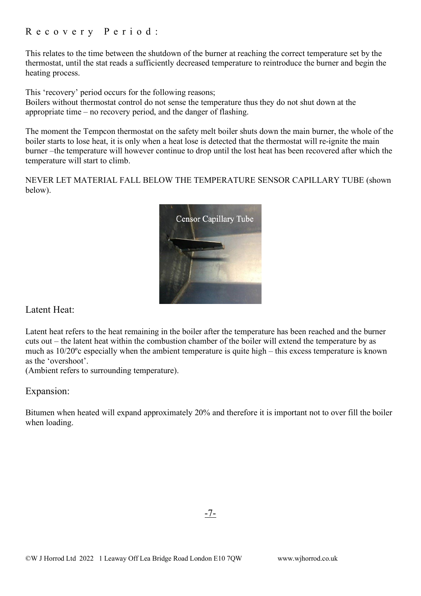#### Recovery Period:

This relates to the time between the shutdown of the burner at reaching the correct temperature set by the thermostat, until the stat reads a sufficiently decreased temperature to reintroduce the burner and begin the heating process.

This 'recovery' period occurs for the following reasons;

Boilers without thermostat control do not sense the temperature thus they do not shut down at the appropriate time – no recovery period, and the danger of flashing.

The moment the Tempcon thermostat on the safety melt boiler shuts down the main burner, the whole of the boiler starts to lose heat, it is only when a heat lose is detected that the thermostat will re-ignite the main burner –the temperature will however continue to drop until the lost heat has been recovered after which the temperature will start to climb.

NEVER LET MATERIAL FALL BELOW THE TEMPERATURE SENSOR CAPILLARY TUBE (shown below).



#### Latent Heat:

Latent heat refers to the heat remaining in the boiler after the temperature has been reached and the burner cuts out – the latent heat within the combustion chamber of the boiler will extend the temperature by as much as 10/20ºc especially when the ambient temperature is quite high – this excess temperature is known as the 'overshoot'.

(Ambient refers to surrounding temperature).

#### Expansion:

Bitumen when heated will expand approximately 20% and therefore it is important not to over fill the boiler when loading.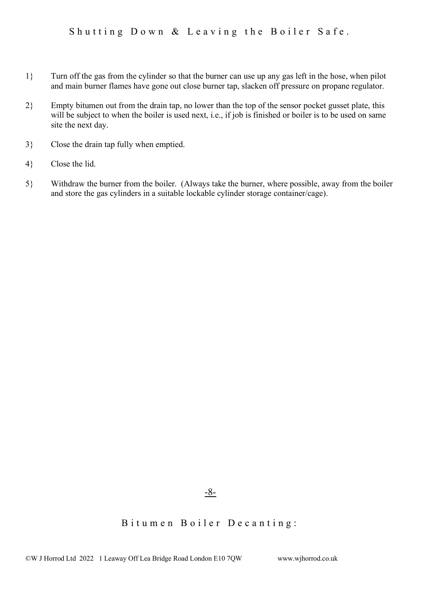- 1} Turn off the gas from the cylinder so that the burner can use up any gas left in the hose, when pilot and main burner flames have gone out close burner tap, slacken off pressure on propane regulator.
- 2} Empty bitumen out from the drain tap, no lower than the top of the sensor pocket gusset plate, this will be subject to when the boiler is used next, i.e., if job is finished or boiler is to be used on same site the next day.
- 3} Close the drain tap fully when emptied.
- 4} Close the lid.
- 5} Withdraw the burner from the boiler. (Always take the burner, where possible, away from the boiler and store the gas cylinders in a suitable lockable cylinder storage container/cage).

-8-

#### Bitumen Boiler Decanting: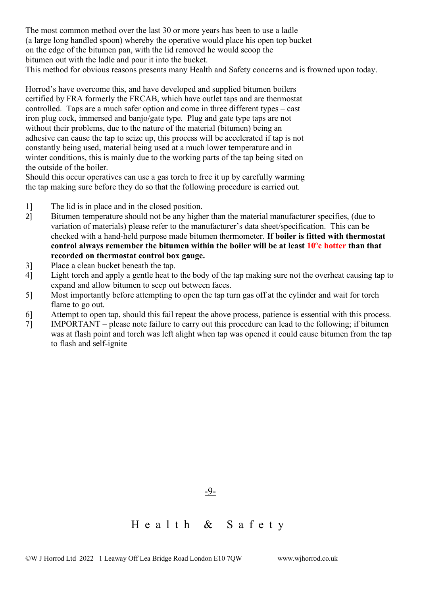The most common method over the last 30 or more years has been to use a ladle (a large long handled spoon) whereby the operative would place his open top bucket on the edge of the bitumen pan, with the lid removed he would scoop the bitumen out with the ladle and pour it into the bucket. This method for obvious reasons presents many Health and Safety concerns and is frowned upon today.

Horrod's have overcome this, and have developed and supplied bitumen boilers certified by FRA formerly the FRCAB, which have outlet taps and are thermostat controlled. Taps are a much safer option and come in three different types – cast iron plug cock, immersed and banjo/gate type. Plug and gate type taps are not without their problems, due to the nature of the material (bitumen) being an adhesive can cause the tap to seize up, this process will be accelerated if tap is not constantly being used, material being used at a much lower temperature and in winter conditions, this is mainly due to the working parts of the tap being sited on the outside of the boiler.

Should this occur operatives can use a gas torch to free it up by carefully warming the tap making sure before they do so that the following procedure is carried out.

- 1] The lid is in place and in the closed position.
- 2] Bitumen temperature should not be any higher than the material manufacturer specifies, (due to variation of materials) please refer to the manufacturer's data sheet/specification. This can be checked with a hand-held purpose made bitumen thermometer. **If boiler is fitted with thermostat control always remember the bitumen within the boiler will be at least 10ºc hotter than that recorded on thermostat control box gauge.**
- 3] Place a clean bucket beneath the tap.
- 4] Light torch and apply a gentle heat to the body of the tap making sure not the overheat causing tap to expand and allow bitumen to seep out between faces.
- 5] Most importantly before attempting to open the tap turn gas off at the cylinder and wait for torch flame to go out.
- 6] Attempt to open tap, should this fail repeat the above process, patience is essential with this process.
- 7] IMPORTANT please note failure to carry out this procedure can lead to the following; if bitumen was at flash point and torch was left alight when tap was opened it could cause bitumen from the tap to flash and self-ignite

Health & Safety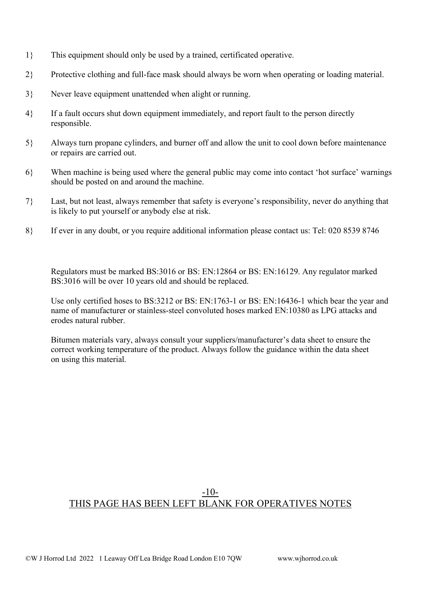- 1} This equipment should only be used by a trained, certificated operative.
- 2} Protective clothing and full-face mask should always be worn when operating or loading material.
- 3} Never leave equipment unattended when alight or running.
- 4} If a fault occurs shut down equipment immediately, and report fault to the person directly responsible.
- 5} Always turn propane cylinders, and burner off and allow the unit to cool down before maintenance or repairs are carried out.
- 6} When machine is being used where the general public may come into contact 'hot surface' warnings should be posted on and around the machine.
- 7} Last, but not least, always remember that safety is everyone's responsibility, never do anything that is likely to put yourself or anybody else at risk.
- 8} If ever in any doubt, or you require additional information please contact us: Tel: 020 8539 8746

Regulators must be marked BS:3016 or BS: EN:12864 or BS: EN:16129. Any regulator marked BS:3016 will be over 10 years old and should be replaced.

Use only certified hoses to BS:3212 or BS: EN:1763-1 or BS: EN:16436-1 which bear the year and name of manufacturer or stainless-steel convoluted hoses marked EN:10380 as LPG attacks and erodes natural rubber.

Bitumen materials vary, always consult your suppliers/manufacturer's data sheet to ensure the correct working temperature of the product. Always follow the guidance within the data sheet on using this material.

#### -10- THIS PAGE HAS BEEN LEFT BLANK FOR OPERATIVES NOTES